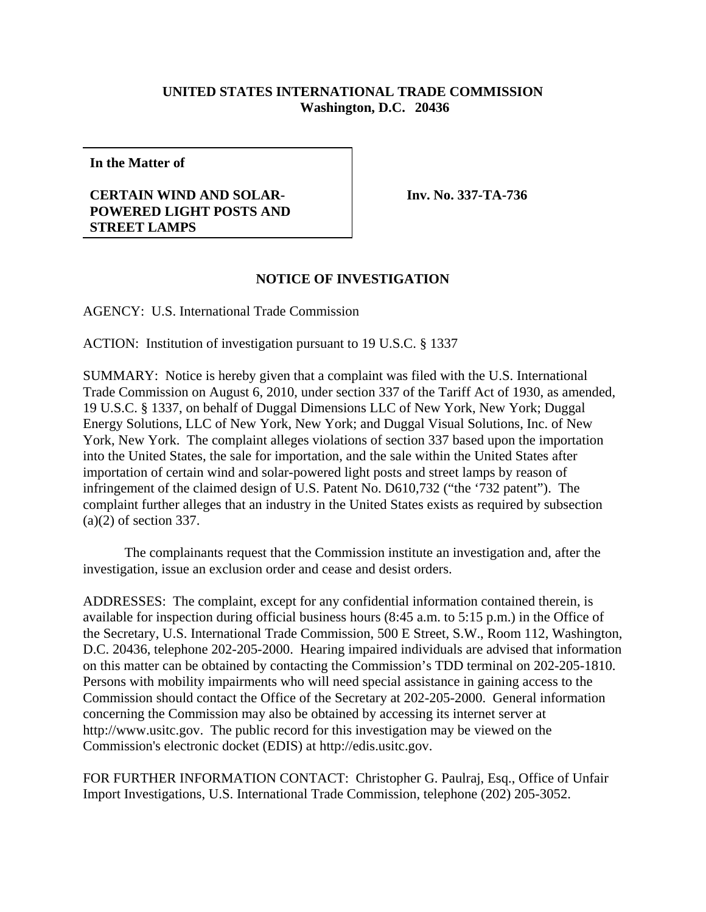## **UNITED STATES INTERNATIONAL TRADE COMMISSION Washington, D.C. 20436**

**In the Matter of**

## **CERTAIN WIND AND SOLAR-POWERED LIGHT POSTS AND STREET LAMPS**

**Inv. No. 337-TA-736**

## **NOTICE OF INVESTIGATION**

AGENCY: U.S. International Trade Commission

ACTION: Institution of investigation pursuant to 19 U.S.C. § 1337

SUMMARY: Notice is hereby given that a complaint was filed with the U.S. International Trade Commission on August 6, 2010, under section 337 of the Tariff Act of 1930, as amended, 19 U.S.C. § 1337, on behalf of Duggal Dimensions LLC of New York, New York; Duggal Energy Solutions, LLC of New York, New York; and Duggal Visual Solutions, Inc. of New York, New York. The complaint alleges violations of section 337 based upon the importation into the United States, the sale for importation, and the sale within the United States after importation of certain wind and solar-powered light posts and street lamps by reason of infringement of the claimed design of U.S. Patent No. D610,732 ("the '732 patent"). The complaint further alleges that an industry in the United States exists as required by subsection (a)(2) of section 337.

The complainants request that the Commission institute an investigation and, after the investigation, issue an exclusion order and cease and desist orders.

ADDRESSES: The complaint, except for any confidential information contained therein, is available for inspection during official business hours (8:45 a.m. to 5:15 p.m.) in the Office of the Secretary, U.S. International Trade Commission, 500 E Street, S.W., Room 112, Washington, D.C. 20436, telephone 202-205-2000. Hearing impaired individuals are advised that information on this matter can be obtained by contacting the Commission's TDD terminal on 202-205-1810. Persons with mobility impairments who will need special assistance in gaining access to the Commission should contact the Office of the Secretary at 202-205-2000. General information concerning the Commission may also be obtained by accessing its internet server at http://www.usitc.gov. The public record for this investigation may be viewed on the Commission's electronic docket (EDIS) at http://edis.usitc.gov.

FOR FURTHER INFORMATION CONTACT: Christopher G. Paulraj, Esq., Office of Unfair Import Investigations, U.S. International Trade Commission, telephone (202) 205-3052.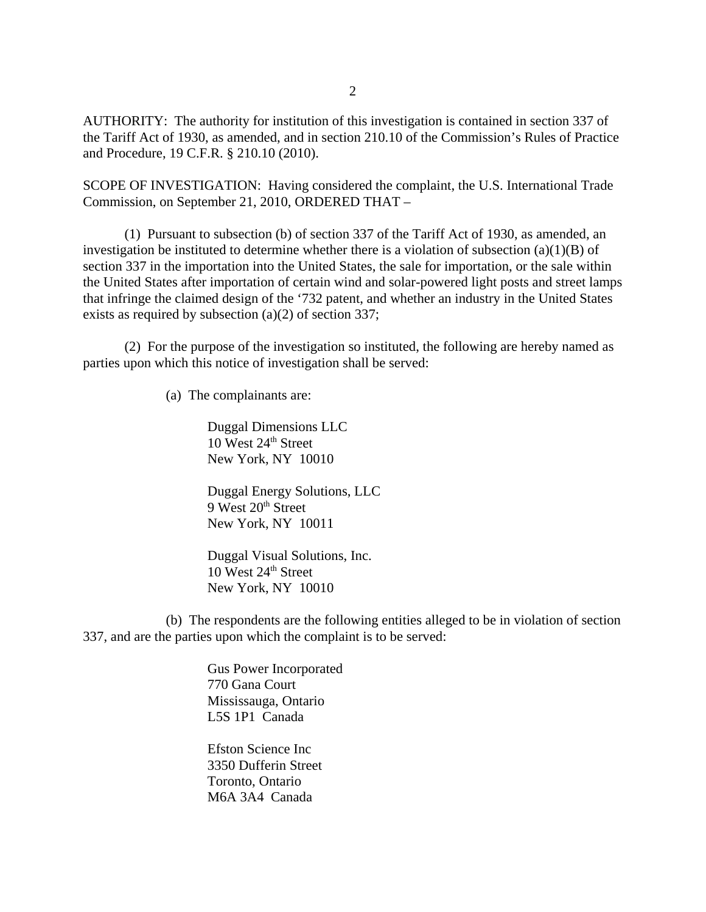AUTHORITY: The authority for institution of this investigation is contained in section 337 of the Tariff Act of 1930, as amended, and in section 210.10 of the Commission's Rules of Practice and Procedure, 19 C.F.R. § 210.10 (2010).

SCOPE OF INVESTIGATION: Having considered the complaint, the U.S. International Trade Commission, on September 21, 2010, ORDERED THAT –

(1) Pursuant to subsection (b) of section 337 of the Tariff Act of 1930, as amended, an investigation be instituted to determine whether there is a violation of subsection  $(a)(1)(B)$  of section 337 in the importation into the United States, the sale for importation, or the sale within the United States after importation of certain wind and solar-powered light posts and street lamps that infringe the claimed design of the '732 patent, and whether an industry in the United States exists as required by subsection (a)(2) of section 337;

(2) For the purpose of the investigation so instituted, the following are hereby named as parties upon which this notice of investigation shall be served:

(a) The complainants are:

Duggal Dimensions LLC 10 West  $24<sup>th</sup>$  Street New York, NY 10010

Duggal Energy Solutions, LLC 9 West 20<sup>th</sup> Street New York, NY 10011

Duggal Visual Solutions, Inc.  $10$  West  $24<sup>th</sup>$  Street New York, NY 10010

(b) The respondents are the following entities alleged to be in violation of section 337, and are the parties upon which the complaint is to be served:

> Gus Power Incorporated 770 Gana Court Mississauga, Ontario L5S 1P1 Canada

Efston Science Inc 3350 Dufferin Street Toronto, Ontario M6A 3A4 Canada